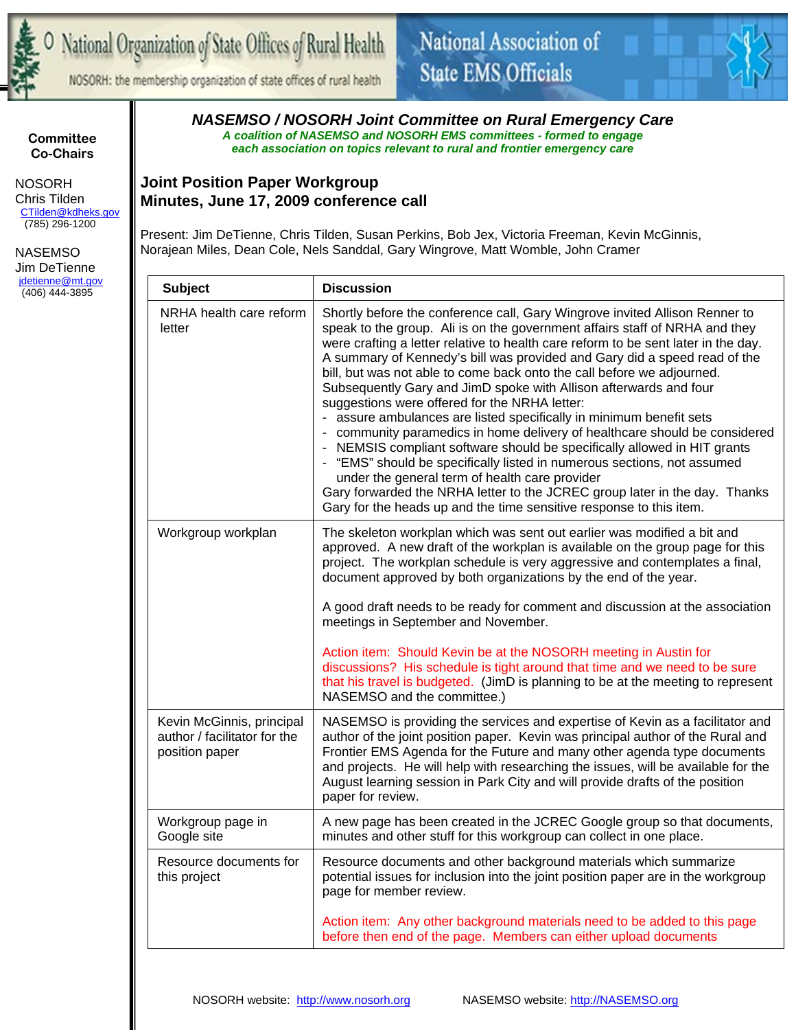

NOSORH: the membership organization of state offices of rural health



**Committee Co-Chairs** 

 NOSORH Chris Tilden CTilden@kdheks.gov (785) 296-1200

 NASEMSO Jim DeTienne jdetienne@mt.gov (406) 444-3895

*NASEMSO / NOSORH Joint Committee on Rural Emergency Care A coalition of NASEMSO and NOSORH EMS committees - formed to engage each association on topics relevant to rural and frontier emergency care* 

## **Joint Position Paper Workgroup Minutes, June 17, 2009 conference call**

Present: Jim DeTienne, Chris Tilden, Susan Perkins, Bob Jex, Victoria Freeman, Kevin McGinnis, Norajean Miles, Dean Cole, Nels Sanddal, Gary Wingrove, Matt Womble, John Cramer

| <b>Subject</b>                                                              | <b>Discussion</b>                                                                                                                                                                                                                                                                                                                                                                                                                                                                                                                                                                                                                                                                                                                                                                                                                                                                                                                                                                                                                            |  |
|-----------------------------------------------------------------------------|----------------------------------------------------------------------------------------------------------------------------------------------------------------------------------------------------------------------------------------------------------------------------------------------------------------------------------------------------------------------------------------------------------------------------------------------------------------------------------------------------------------------------------------------------------------------------------------------------------------------------------------------------------------------------------------------------------------------------------------------------------------------------------------------------------------------------------------------------------------------------------------------------------------------------------------------------------------------------------------------------------------------------------------------|--|
| NRHA health care reform<br>letter                                           | Shortly before the conference call, Gary Wingrove invited Allison Renner to<br>speak to the group. Ali is on the government affairs staff of NRHA and they<br>were crafting a letter relative to health care reform to be sent later in the day.<br>A summary of Kennedy's bill was provided and Gary did a speed read of the<br>bill, but was not able to come back onto the call before we adjourned.<br>Subsequently Gary and JimD spoke with Allison afterwards and four<br>suggestions were offered for the NRHA letter:<br>assure ambulances are listed specifically in minimum benefit sets<br>community paramedics in home delivery of healthcare should be considered<br>- NEMSIS compliant software should be specifically allowed in HIT grants<br>- "EMS" should be specifically listed in numerous sections, not assumed<br>under the general term of health care provider<br>Gary forwarded the NRHA letter to the JCREC group later in the day. Thanks<br>Gary for the heads up and the time sensitive response to this item. |  |
| Workgroup workplan                                                          | The skeleton workplan which was sent out earlier was modified a bit and<br>approved. A new draft of the workplan is available on the group page for this<br>project. The workplan schedule is very aggressive and contemplates a final,<br>document approved by both organizations by the end of the year.<br>A good draft needs to be ready for comment and discussion at the association                                                                                                                                                                                                                                                                                                                                                                                                                                                                                                                                                                                                                                                   |  |
|                                                                             | meetings in September and November.                                                                                                                                                                                                                                                                                                                                                                                                                                                                                                                                                                                                                                                                                                                                                                                                                                                                                                                                                                                                          |  |
|                                                                             | Action item: Should Kevin be at the NOSORH meeting in Austin for<br>discussions? His schedule is tight around that time and we need to be sure<br>that his travel is budgeted. (JimD is planning to be at the meeting to represent<br>NASEMSO and the committee.)                                                                                                                                                                                                                                                                                                                                                                                                                                                                                                                                                                                                                                                                                                                                                                            |  |
| Kevin McGinnis, principal<br>author / facilitator for the<br>position paper | NASEMSO is providing the services and expertise of Kevin as a facilitator and<br>author of the joint position paper. Kevin was principal author of the Rural and<br>Frontier EMS Agenda for the Future and many other agenda type documents<br>and projects. He will help with researching the issues, will be available for the<br>August learning session in Park City and will provide drafts of the position<br>paper for review.                                                                                                                                                                                                                                                                                                                                                                                                                                                                                                                                                                                                        |  |
| Workgroup page in<br>Google site                                            | A new page has been created in the JCREC Google group so that documents,<br>minutes and other stuff for this workgroup can collect in one place.                                                                                                                                                                                                                                                                                                                                                                                                                                                                                                                                                                                                                                                                                                                                                                                                                                                                                             |  |
| Resource documents for<br>this project                                      | Resource documents and other background materials which summarize<br>potential issues for inclusion into the joint position paper are in the workgroup<br>page for member review.                                                                                                                                                                                                                                                                                                                                                                                                                                                                                                                                                                                                                                                                                                                                                                                                                                                            |  |
|                                                                             | Action item: Any other background materials need to be added to this page<br>before then end of the page. Members can either upload documents                                                                                                                                                                                                                                                                                                                                                                                                                                                                                                                                                                                                                                                                                                                                                                                                                                                                                                |  |